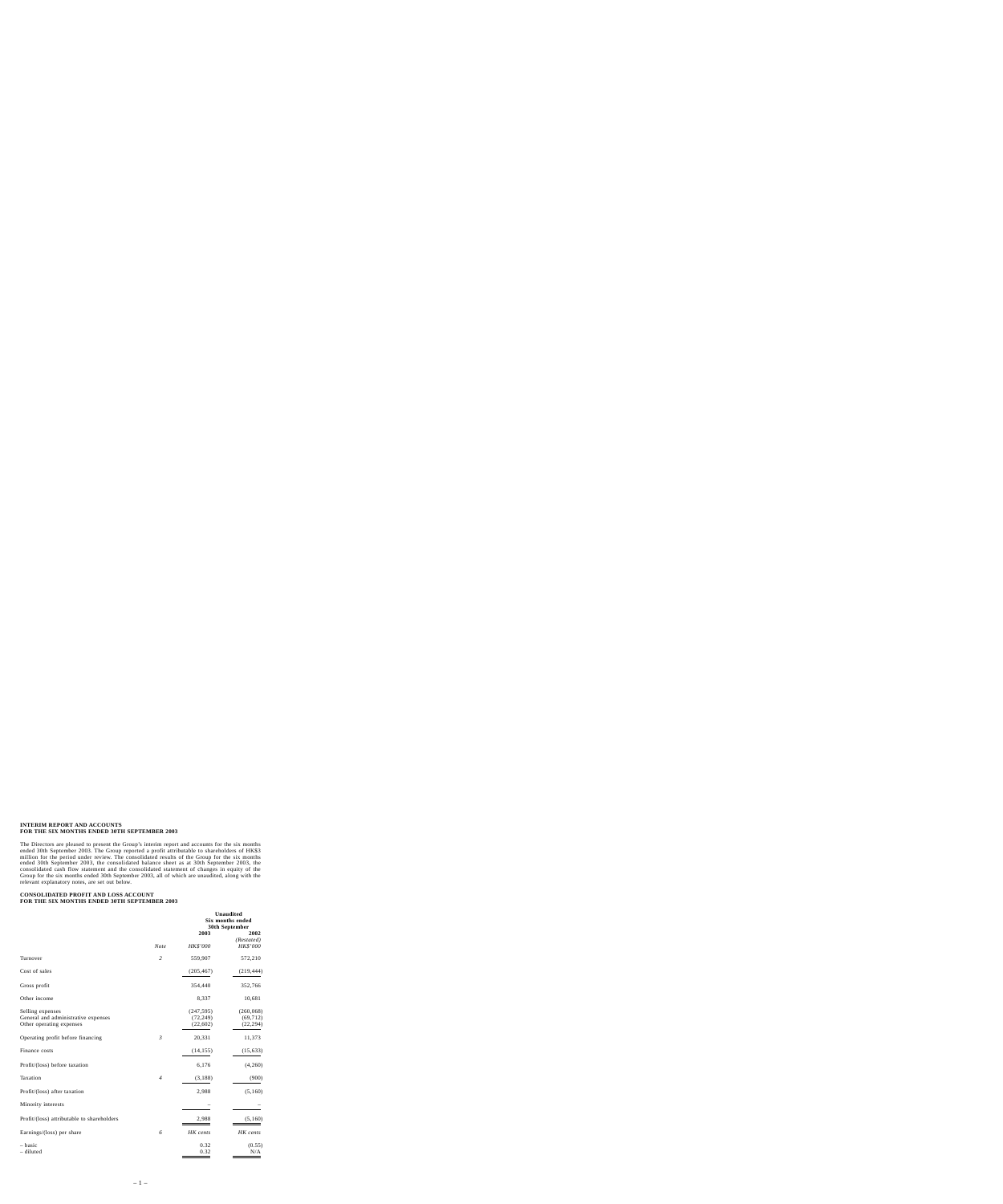# **INTERIM REPORT AND ACCOUNTS FOR THE SIX MONTHS ENDED 30TH SEPTEMBER 2003**

The Directors are pleased to present the Group's interim report and accounts for the six months ended 30th September 2003. The Group reported a profit attributable to shareholders of HK\$3 million for the period under review. The consolidated results of the Group for the six months ended 30th September 2003, the consolidated balance sheet as at 30th September 2003, the consolidated cash flow statement and the consolidated statement of changes in equity of the Group for the six months ended 30th September 2003, all of which are unaudited, along with the relevant explanatory notes, are set out below.

### **CONSOLIDATED PROFIT AND LOSS ACCOUNT FOR THE SIX MONTHS ENDED 30TH SEPTEMBER 2003**

|                                            |                |            | <b>Unaudited</b><br><b>Six months ended</b><br>30th September |
|--------------------------------------------|----------------|------------|---------------------------------------------------------------|
|                                            |                | 2003       | 2002                                                          |
|                                            | <b>Note</b>    | HK\$'000   | (Restated)<br>HK\$'000                                        |
| Turnover                                   | $\overline{c}$ | 559,907    | 572,210                                                       |
| Cost of sales                              |                | (205, 467) | (219, 444)                                                    |
| Gross profit                               |                | 354,440    | 352,766                                                       |
| Other income                               |                | 8,337      | 10,681                                                        |
| Selling expenses                           |                | (247, 595) | (260, 068)                                                    |
| General and administrative expenses        |                | (72, 249)  | (69, 712)                                                     |
| Other operating expenses                   |                | (22,602)   | (22, 294)                                                     |
| Operating profit before financing          | $\mathfrak{Z}$ | 20,331     | 11,373                                                        |
| Finance costs                              |                | (14, 155)  | (15, 633)                                                     |
| Profit/(loss) before taxation              |                | 6,176      | (4,260)                                                       |
| Taxation                                   | $\overline{4}$ | (3,188)    | (900)                                                         |
| Profit/(loss) after taxation               |                | 2,988      | (5,160)                                                       |
| Minority interests                         |                |            |                                                               |
| Profit/(loss) attributable to shareholders |                | 2,988      | (5,160)                                                       |
| Earnings/(loss) per share                  | 6              | HK cents   | HK cents                                                      |
| – basic                                    |                | 0.32       | (0.55)                                                        |
| - diluted                                  |                | 0.32       | N/A                                                           |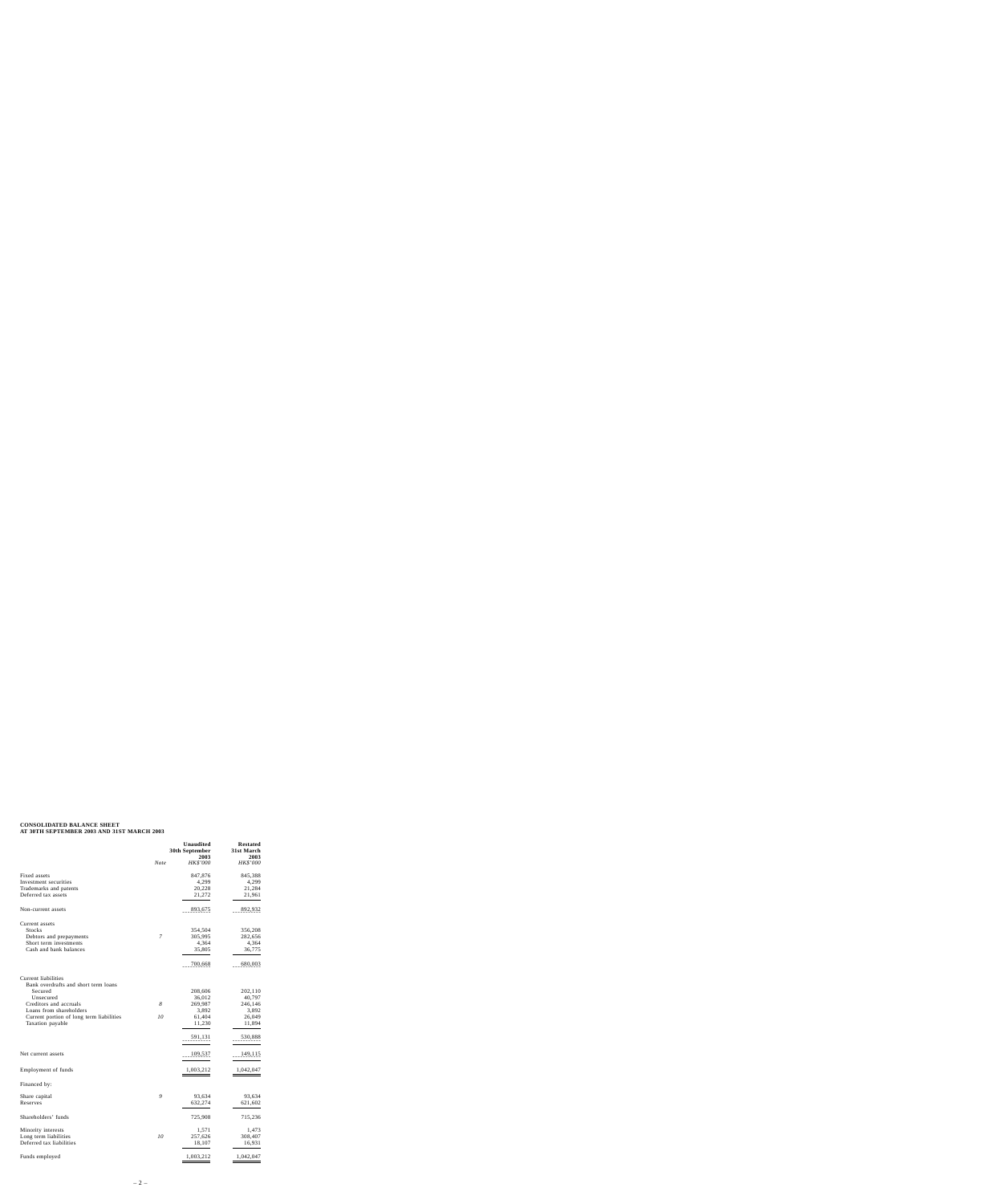# **CONSOLIDATED BALANCE SHEET AT 30TH SEPTEMBER 2003 AND 31ST MARCH 2003**

|                                                             | 30th September | <b>Restated</b><br>31st March<br>2003 |                 |
|-------------------------------------------------------------|----------------|---------------------------------------|-----------------|
|                                                             | <b>Note</b>    | 2003<br>HK\$'000                      | <i>HK\$'000</i> |
| Fixed assets                                                |                | 847,876                               | 845,388         |
| Investment securities                                       |                | 4,299                                 | 4,299           |
| Trademarks and patents                                      |                | 20,228                                | 21,284          |
| Deferred tax assets                                         |                | 21,272                                | 21,961          |
| Non-current assets                                          |                | 893,675                               | 892,932         |
| Current assets                                              |                |                                       |                 |
| Stocks                                                      |                | 354,504                               | 356,208         |
| Debtors and prepayments                                     | 7              | 305,995                               | 282,656         |
| Short term investments                                      |                | 4,364                                 | 4,364           |
| Cash and bank balances                                      |                | 35,805                                | 36,775          |
|                                                             |                | 700,668                               | 680,003         |
|                                                             |                |                                       |                 |
| Current liabilities<br>Bank overdrafts and short term loans |                |                                       |                 |
| Secured                                                     |                | 208,606                               | 202,110         |
| Unsecured                                                   |                | 36,012                                | 40,797          |
| Creditors and accruals                                      | 8              | 269,987                               | 246,146         |
| Loans from shareholders                                     |                | 3,892                                 | 3,892           |
| Current portion of long term liabilities                    | 10             | 61,404                                | 26,049          |
| Taxation payable                                            |                | 11,230                                | 11,894          |
|                                                             |                | 591,131                               | 530,888         |
|                                                             |                |                                       |                 |
| Net current assets                                          |                | 109,537                               | 149,115         |
| Employment of funds                                         |                | 1,003,212                             | 1,042,047       |
| Financed by:                                                |                |                                       |                 |
| Share capital                                               | 9              | 93,634                                | 93,634          |
| Reserves                                                    |                | 632,274                               | 621,602         |
| Shareholders' funds                                         |                | 725,908                               | 715,236         |
| Minority interests                                          |                | 1,571                                 | 1,473           |
| Long term liabilities                                       | 10             | 257,626                               | 308,407         |
| Deferred tax liabilities                                    |                | 18,107                                | 16,931          |
| Funds employed                                              |                | 1,003,212                             | 1,042,047       |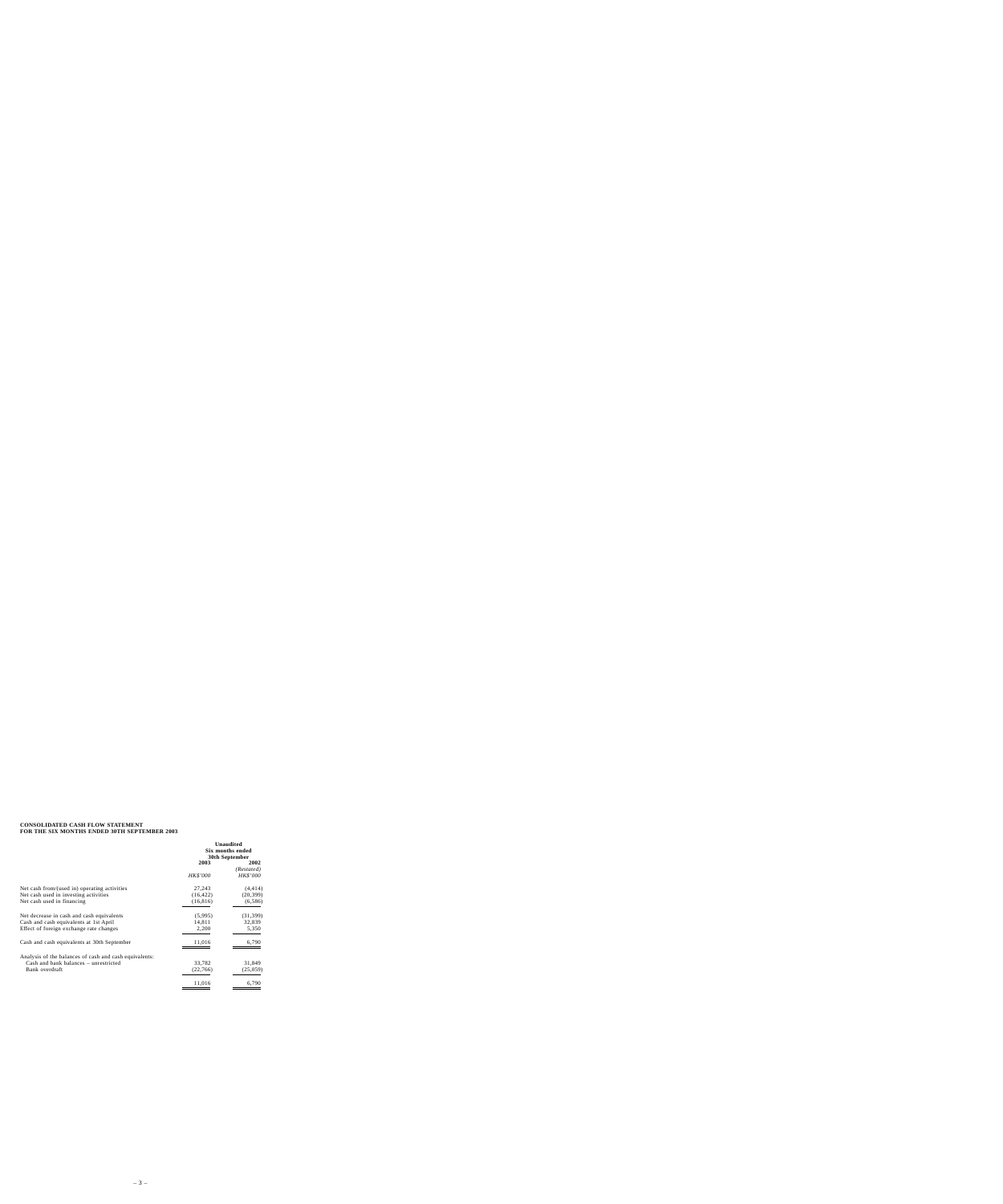# **CONSOLIDATED CASH FLOW STATEMENT FOR THE SIX MONTHS ENDED 30TH SEPTEMBER 2003**

| Unaudited<br>Six months ended<br>30th September |            |
|-------------------------------------------------|------------|
| 2003                                            | 2002       |
|                                                 | (Restated) |
| <b>HK\$'000</b>                                 | HK\$'000   |
| 27,243                                          | (4, 414)   |
| (16, 422)                                       | (20, 399)  |
| (16, 816)                                       | (6, 586)   |
| (5,995)                                         | (31, 399)  |
| 14,811                                          | 32,839     |
| 2,200                                           | 5,350      |
| 11,016                                          | 6,790      |
|                                                 |            |
| 33,782                                          | 31,849     |
| (22, 766)                                       | (25,059)   |
| 11,016                                          | 6,790      |
|                                                 |            |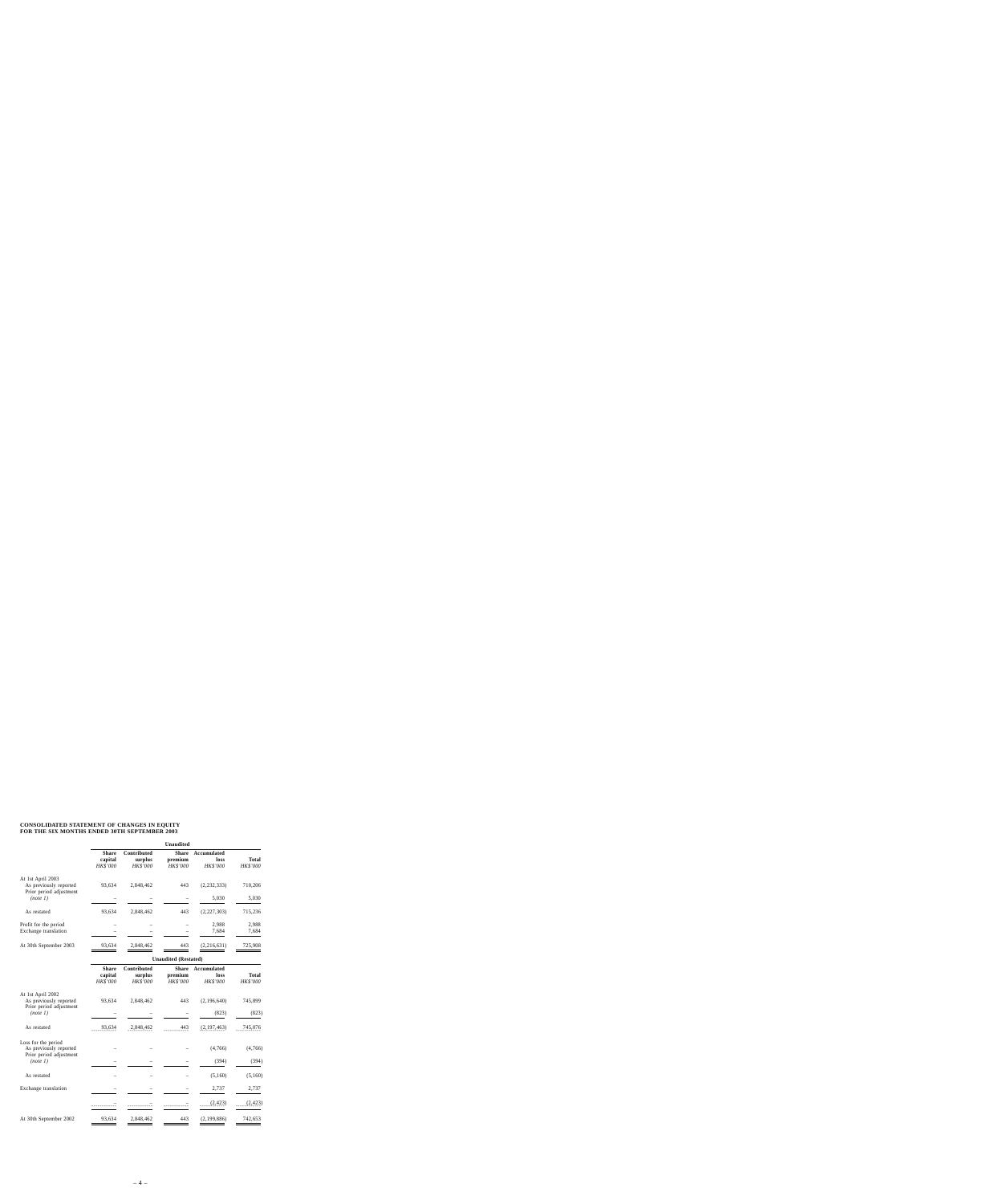# **CONSOLIDATED STATEMENT OF CHANGES IN EQUITY FOR THE SIX MONTHS ENDED 30TH SEPTEMBER 2003**

|                                               |                                     |                                           | <b>Unaudited</b>                           |                                        |                                 |
|-----------------------------------------------|-------------------------------------|-------------------------------------------|--------------------------------------------|----------------------------------------|---------------------------------|
|                                               | <b>Share</b><br>capital<br>HK\$'000 | Contributed<br>surplus<br><b>HK\$'000</b> | <b>Share</b><br>premium<br><b>HK\$'000</b> | Accumulated<br>loss<br><b>HK\$'000</b> | <b>Total</b><br><b>HK\$'000</b> |
| At 1st April 2003<br>As previously reported   | 93.634                              | 2.848.462                                 | 443                                        | (2, 232, 333)                          | 710,206                         |
| Prior period adjustment<br>(note 1)           |                                     |                                           |                                            | 5,030                                  | 5,030                           |
| As restated                                   | 93.634                              | 2,848,462                                 | 443                                        | (2,227,303)                            | 715,236                         |
| Profit for the period<br>Exchange translation |                                     |                                           |                                            | 2,988<br>7,684                         | 2,988<br>7,684                  |
| At 30th September 2003                        | 93,634                              | 2,848,462                                 | 443                                        | (2,216,631)                            | 725,908                         |

|                                                                        |                                     | <b>Unaudited (Restated)</b>        |                                            |                                 |                   |
|------------------------------------------------------------------------|-------------------------------------|------------------------------------|--------------------------------------------|---------------------------------|-------------------|
|                                                                        | <b>Share</b><br>capital<br>HK\$'000 | Contributed<br>surplus<br>HK\$'000 | <b>Share</b><br>premium<br><b>HK\$'000</b> | Accumulated<br>loss<br>HK\$'000 | Total<br>HK\$'000 |
| At 1st April 2002<br>As previously reported<br>Prior period adjustment | 93,634                              | 2,848,462                          | 443                                        | (2,196,640)                     | 745,899           |
| (note 1)                                                               |                                     |                                    |                                            | (823)                           | (823)             |
| As restated                                                            | 93,634                              | 2,848,462                          | 443                                        | (2,197,463)                     | 745,076           |
| Loss for the period<br>As previously reported                          |                                     |                                    |                                            | (4,766)                         | (4,766)           |
| Prior period adjustment<br>(note 1)                                    |                                     |                                    |                                            | (394)                           | (394)             |
| As restated                                                            |                                     |                                    |                                            | (5,160)                         | (5,160)           |
| Exchange translation                                                   |                                     |                                    |                                            | 2,737                           | 2,737             |
|                                                                        |                                     |                                    |                                            | (2, 423)                        | (2, 423)          |
| At 30th September 2002                                                 | 93,634                              | 2,848,462                          | 443                                        | (2, 199, 886)                   | 742,653           |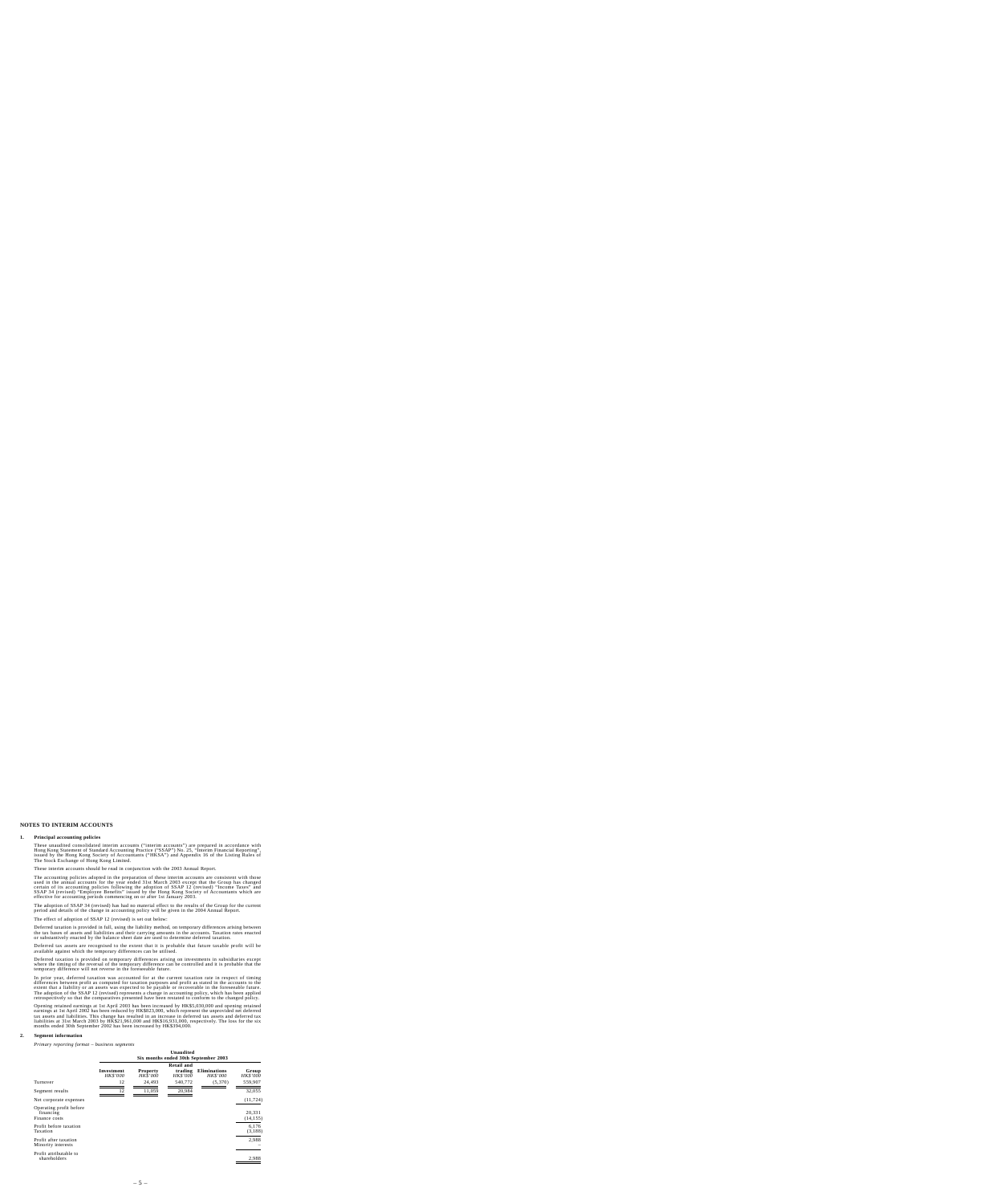# **NOTES TO INTERIM ACCOUNTS**

#### **1. Principal accounting policies**

These unaudited consolidated interim accounts ("interim accounts") are prepared in accordance with Hong Kong Statement of Standard Accounting Practice ("SSAP") No. 25, "Interim Financial Reporting", issued by the Hong Kong Society of Accountants ("HKSA") and Appendix 16 of the Listing Rules of The Stock Exchange of Hong Kong Limited.

These interim accounts should be read in conjunction with the 2003 Annual Report.

The accounting policies adopted in the preparation of these interim accounts are consistent with those used in the annual accounts for the year ended 31st March 2003 except that the Group has changed certain of its accounting policies following the adoption of SSAP 12 (revised) "Income Taxes" and SSAP 34 (revised) "Employee Benefits" issued by the Hong Kong Society of Accountants which are effective for accounting periods commencing on or after 1st January 2003.

The adoption of SSAP 34 (revised) has had no material effect to the results of the Group for the current period and details of the change in accounting policy will be given in the 2004 Annual Report.

The effect of adoption of SSAP 12 (revised) is set out below:

Deferred taxation is provided in full, using the liability method, on temporary differences arising between the tax bases of assets and liabilities and their carrying amounts in the accounts. Taxation rates enacted or substantively enacted by the balance sheet date are used to determine deferred taxation.

Deferred tax assets are recognised to the extent that it is probable that future taxable profit will be available against which the temporary differences can be utilised.

Deferred taxation is provided on temporary differences arising on investments in subsidiaries except where the timing of the reversal of the temporary difference can be controlled and it is probable that the temporary difference will not reverse in the foreseeable future.

In prior year, deferred taxation was accounted for at the current taxation rate in respect of timing differences between profit as computed for taxation purposes and profit as stated in the accounts to the extent that a liability or an assets was expected to be payable or recoverable in the foreseeable future. The adoption of the SSAP 12 (revised) represents a change in accounting policy, which has been applied retrospectively so that the comparatives presented have been restated to conform to the changed policy.

Opening retained earnings at 1st April 2003 has been increased by HK\$5,030,000 and opening retained earnings at 1st April 2002 has been reduced by HK\$823,000, which represent the unprovided net deferred tax assets and liabilities. This change has resulted in an increase in deferred tax assets and deferred tax liabilities at 31st March 2003 by HK\$21,961,000 and HK\$16,931,000, respectively. The loss for the six months ended 30th September 2002 has been increased by HK\$394,000.

#### **2. Segment information**

*Primary reporting format – business segments*

|                                                       | Unaudited<br>Six months ended 30th September 2003 |                             |                                                 |                                        |                          |
|-------------------------------------------------------|---------------------------------------------------|-----------------------------|-------------------------------------------------|----------------------------------------|--------------------------|
|                                                       | Investment<br><b>HK\$'000</b>                     | Property<br><b>HK\$'000</b> | <b>Retail and</b><br>trading<br><i>HK\$'000</i> | <b>Eliminations</b><br><b>HK\$'000</b> | Group<br><b>HK\$'000</b> |
| Turnover                                              | 12                                                | 24,493                      | 540,772                                         | (5,370)                                | 559,907                  |
| Segment results                                       | 12                                                | 11,059                      | 20,984                                          |                                        | 32,055                   |
| Net corporate expenses                                |                                                   |                             |                                                 |                                        | (11, 724)                |
| Operating profit before<br>financing<br>Finance costs |                                                   |                             |                                                 |                                        | 20.331<br>(14, 155)      |
| Profit before taxation<br>Taxation                    |                                                   |                             |                                                 |                                        | 6,176<br>(3,188)         |
| Profit after taxation<br>Minority interests           |                                                   |                             |                                                 |                                        | 2,988                    |
| Profit attributable to<br>shareholders                |                                                   |                             |                                                 |                                        | 2,988                    |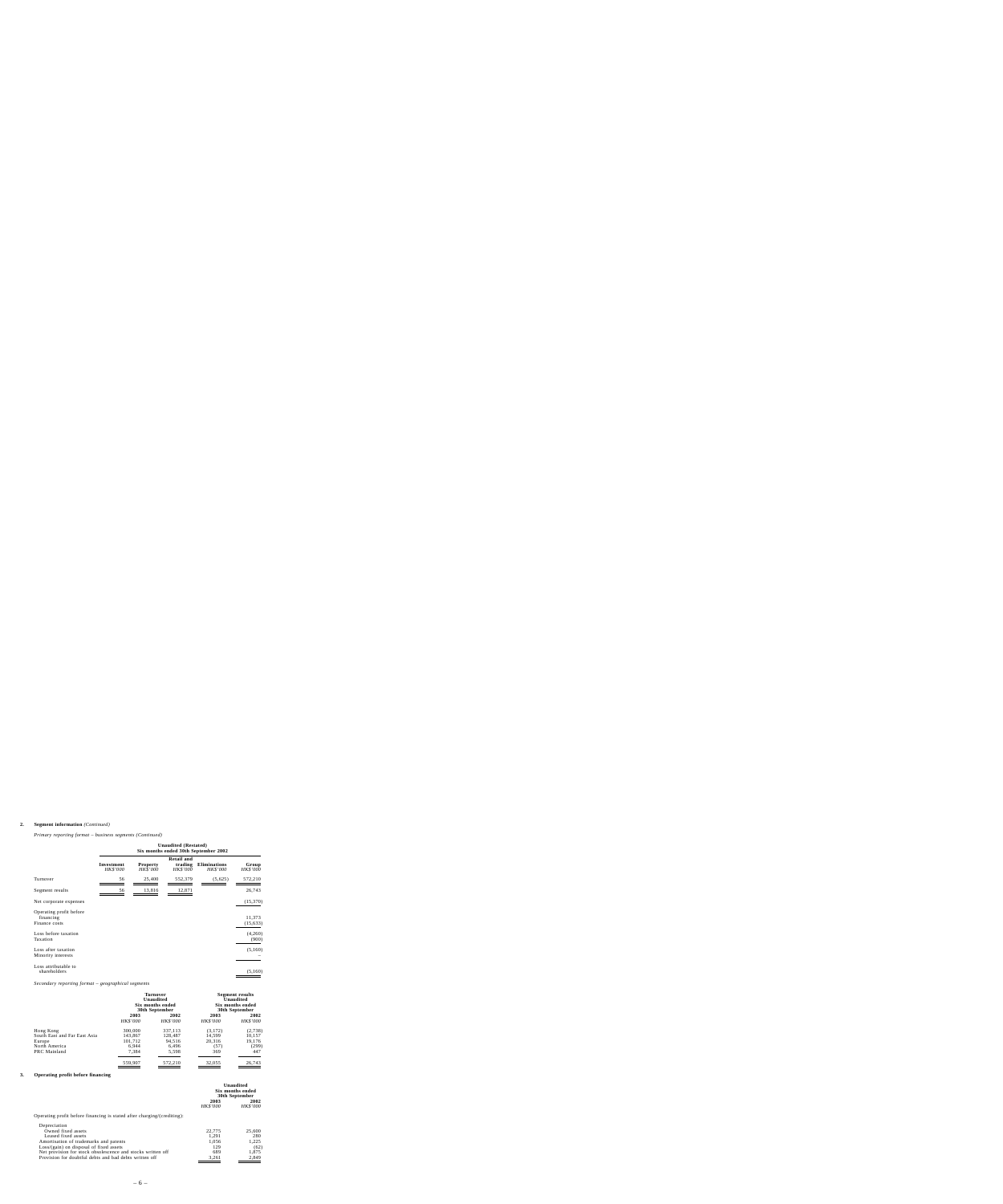### **2. Segment information** *(Continued)*

*Primary reporting format – business segments (Continued)*

|                                                       | Unaudited (Restated)<br>Six months ended 30th September 2002 |                                    |                                                 |                                 |                          |
|-------------------------------------------------------|--------------------------------------------------------------|------------------------------------|-------------------------------------------------|---------------------------------|--------------------------|
|                                                       | Investment<br>HK\$'000                                       | <b>Property</b><br><b>HK\$'000</b> | <b>Retail and</b><br>trading<br><b>HK\$'000</b> | <b>Eliminations</b><br>HK\$'000 | Group<br><i>HK\$'000</i> |
| Turnover                                              | 56                                                           | 25,400                             | 552,379                                         | (5,625)                         | 572,210                  |
| Segment results                                       | 56                                                           | 13,816                             | 12,871                                          |                                 | 26,743                   |
| Net corporate expenses                                |                                                              |                                    |                                                 |                                 | (15,370)                 |
| Operating profit before<br>financing<br>Finance costs |                                                              |                                    |                                                 |                                 | 11,373<br>(15, 633)      |
| Loss before taxation<br>Taxation                      |                                                              |                                    |                                                 |                                 | (4,260)<br>(900)         |
| Loss after taxation<br>Minority interests             |                                                              |                                    |                                                 |                                 | (5,160)                  |
| Loss attributable to<br>shareholders                  |                                                              |                                    |                                                 |                                 | (5,160)                  |

*Secondary reporting format – geographical segments*

|                              | Turnover<br>Unaudited<br>Six months ended<br>30th September |                 | <b>Segment results</b><br>Unaudited<br>Six months ended<br>30th September |                 |
|------------------------------|-------------------------------------------------------------|-----------------|---------------------------------------------------------------------------|-----------------|
|                              | 2003                                                        | 2002            | 2003                                                                      | 2002            |
|                              | <b>HK\$'000</b>                                             | <b>HK\$'000</b> | <b>HK\$'000</b>                                                           | <b>HK\$'000</b> |
| Hong Kong                    | 300,000                                                     | 337.113         | (3,172)                                                                   | (2,738)         |
| South East and Far East Asia | 143,867                                                     | 128.487         | 14.599                                                                    | 10,157          |
| Europe                       | 101,712                                                     | 94.516          | 20,316                                                                    | 19,176          |
| North America                | 6.944                                                       | 6,496           | (57)                                                                      | (299)           |
| PRC Mainland                 | 7,384                                                       | 5,598           | 369                                                                       | 447             |
|                              | 559,907                                                     | 572,210         | 32,055                                                                    | 26,743          |

# **3. Operating profit before financing**

|                                                                         | Unaudited<br>Six months ended<br>30th September |                         |
|-------------------------------------------------------------------------|-------------------------------------------------|-------------------------|
|                                                                         | 2003<br><b>HK\$'000</b>                         | 2002<br><b>HK\$'000</b> |
| Operating profit before financing is stated after charging/(crediting): |                                                 |                         |
| Depreciation                                                            |                                                 |                         |
| Owned fixed assets                                                      | 22,775                                          | 25,600                  |
| Leased fixed assets                                                     | 1.291                                           | 280                     |
| Amortisation of trademarks and patents                                  | 1.056                                           | 1.225                   |
| $Loss/(gain)$ on disposal of fixed assets                               | 129                                             | (62)                    |
| Net provision for stock obsolescence and stocks written off             | 689                                             | 1.875                   |
| Provision for doubtful debts and bad debts written off                  | 3.261                                           | 2.849                   |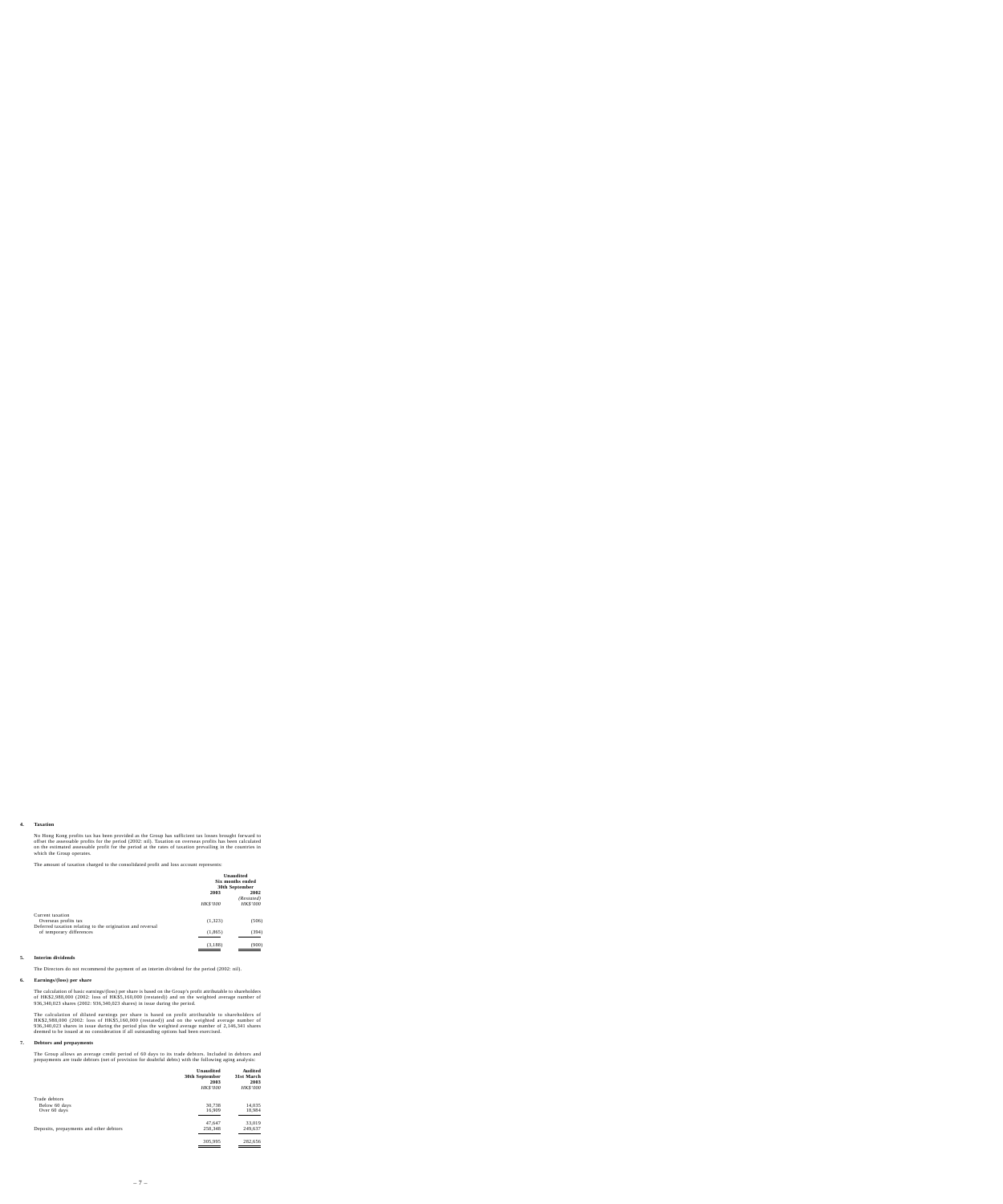#### **4. Taxation**

No Hong Kong profits tax has been provided as the Group has sufficient tax losses brought forward to offset the assessable profits for the period (2002: nil). Taxation on overseas profits has been calculated on the estimated assessable profit for the period at the rates of taxation prevailing in the countries in which the Group operates.

The amount of taxation charged to the consolidated profit and loss account represents:

|                                                                                        | Unaudited<br>Six months ended<br>30th September |                               |  |
|----------------------------------------------------------------------------------------|-------------------------------------------------|-------------------------------|--|
|                                                                                        | 2003                                            | 2002                          |  |
|                                                                                        | <b>HK\$'000</b>                                 | (Restated)<br><b>HK\$'000</b> |  |
| Current taxation                                                                       |                                                 |                               |  |
| Overseas profits tax                                                                   | (1,323)                                         | (506)                         |  |
| Deferred taxation relating to the origination and reversal<br>of temporary differences | (1, 865)                                        | (394)                         |  |
|                                                                                        | (3, 188)                                        | (900)                         |  |

#### **5. Interim dividends**

The Directors do not recommend the payment of an interim dividend for the period (2002: nil).

#### **6. Earnings/(loss) per share**

The calculation of basic earnings/(loss) per share is based on the Group's profit attributable to shareholders of HK\$2,988,000 (2002: loss of HK\$5,160,000 (restated)) and on the weighted average number of 936,340,023 shares (2002: 936,340,023 shares) in issue during the period.

The calculation of diluted earnings per share is based on profit attributable to shareholders of HK\$2,988,000 (2002: loss of HK\$5,160,000 (restated)) and on the weighted average number of 936,340,023 shares in issue during the period plus the weighted average number of 2,146,341 shares deemed to be issued at no consideration if all outstanding options had been exercised.

#### **7. Debtors and prepayments**

The Group allows an average credit period of 60 days to its trade debtors. Included in debtors and prepayments are trade debtors (net of provision for doubtful debts) with the following aging analysis:

|                                         | Unaudited<br>30th September<br>2003<br><b>HK\$'000</b> | Audited<br>31st March<br>2003<br><b>HK\$'000</b> |
|-----------------------------------------|--------------------------------------------------------|--------------------------------------------------|
| Trade debtors                           |                                                        |                                                  |
| Below 60 days                           | 30,738                                                 | 14,035                                           |
| Over 60 days                            | 16,909                                                 | 18,984                                           |
|                                         | 47,647                                                 | 33,019                                           |
| Deposits, prepayments and other debtors | 258,348                                                | 249,637                                          |
|                                         | 305,995                                                | 282,656                                          |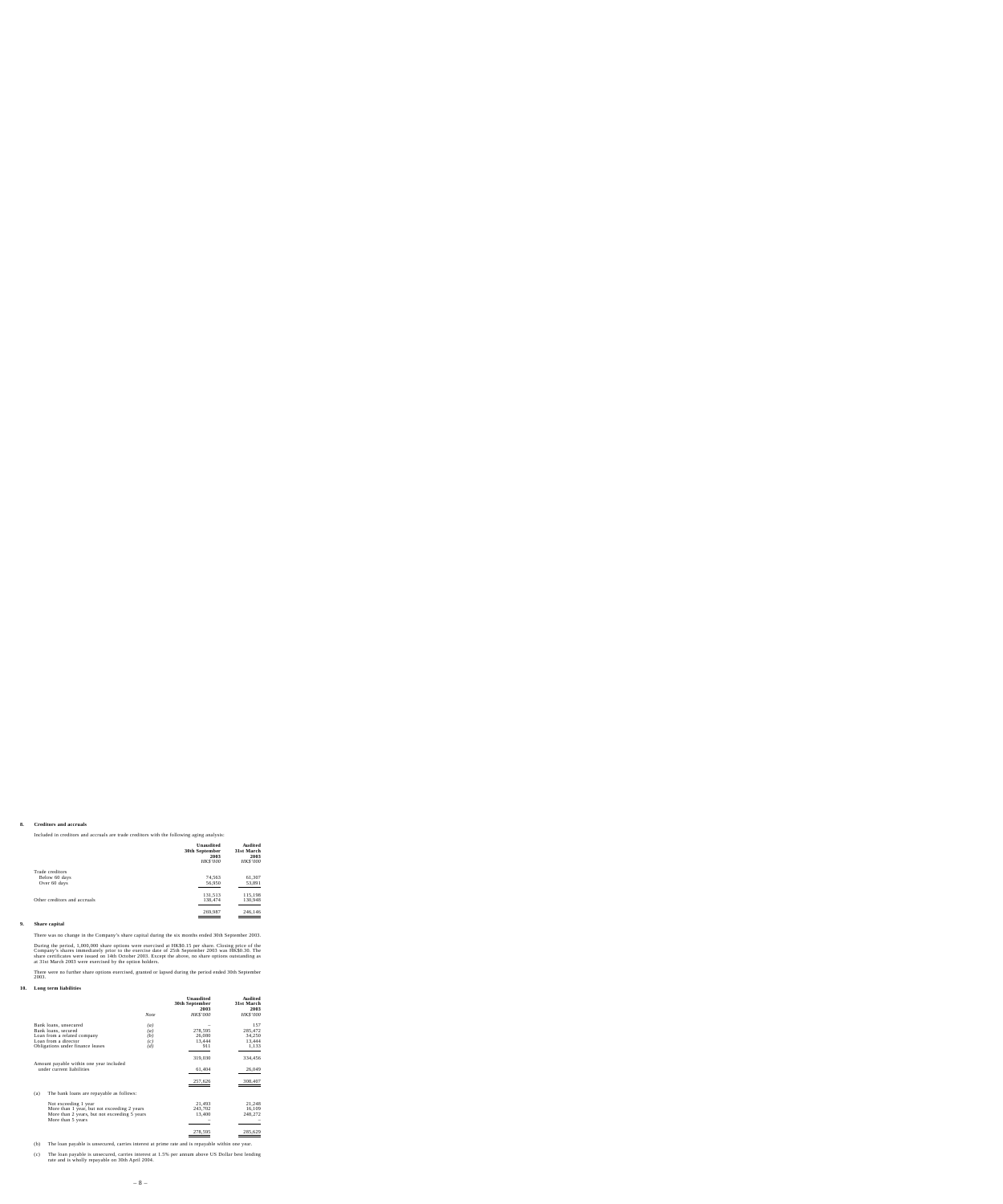### **8. Creditors and accruals**

Included in creditors and accruals are trade creditors with the following aging analysis:

|                                                  | Unaudited<br>30th September<br>2003<br>HK\$'000 | Audited<br>31st March<br>2003<br><b>HK\$'000</b> |
|--------------------------------------------------|-------------------------------------------------|--------------------------------------------------|
| Trade creditors<br>Below 60 days<br>Over 60 days | 74,563<br>56,950                                | 61,307<br>53,891                                 |
| Other creditors and accruals                     | 131,513<br>138,474                              | 115,198<br>130,948                               |
|                                                  | 269,987                                         | 246,146                                          |

# **9. Share capital**

There was no change in the Company's share capital during the six months ended 30th September 2003.

During the period, 1,000,000 share options were exercised at HK\$0.15 per share. Closing price of the Company's shares immediately prior to the exercise date of 25th September 2003 was HK\$0.30. The share certificates were issued on 14th October 2003. Except the above, no share options outstanding as at 31st March 2003 were exercised by the option holders.

There were no further share options exercised, granted or lapsed during the period ended 30th September 2003.

#### **10. Long term liabilities**

|                                                                      |      | <b>Unaudited</b><br>30th September<br>2003 | Audited<br>31st March<br>2003 |
|----------------------------------------------------------------------|------|--------------------------------------------|-------------------------------|
|                                                                      | Note | <b>HK\$'000</b>                            | <b>HK\$'000</b>               |
| Bank loans, unsecured                                                | (a)  |                                            | 157                           |
| Bank loans, secured                                                  | (a)  | 278,595                                    | 285,472                       |
| Loan from a related company                                          | (b)  | 26,080                                     | 34,250                        |
| Loan from a director                                                 | (c)  | 13,444                                     | 13,444                        |
| Obligations under finance leases                                     | (d)  | 911                                        | 1,133                         |
|                                                                      |      | 319,030                                    | 334,456                       |
| Amount payable within one year included<br>under current liabilities |      | 61,404                                     | 26,049                        |
|                                                                      |      | 257,626                                    | 308,407                       |
| The bank loans are repayable as follows:<br>(a)                      |      |                                            |                               |
| Not exceeding 1 year                                                 |      | 21,493                                     | 21,248                        |
| More than 1 year, but not exceeding 2 years                          |      | 243,702                                    | 16,109                        |
| More than 2 years, but not exceeding 5 years<br>More than 5 years    |      | 13,400                                     | 248,272                       |
|                                                                      |      | 278.595                                    | 285,629                       |

- (b) The loan payable is unsecured, carries interest at prime rate and is repayable within one year.
- (c) The loan payable is unsecured, carries interest at 1.5% per annum above US Dollar best lending rate and is wholly repayable on 30th April 2004.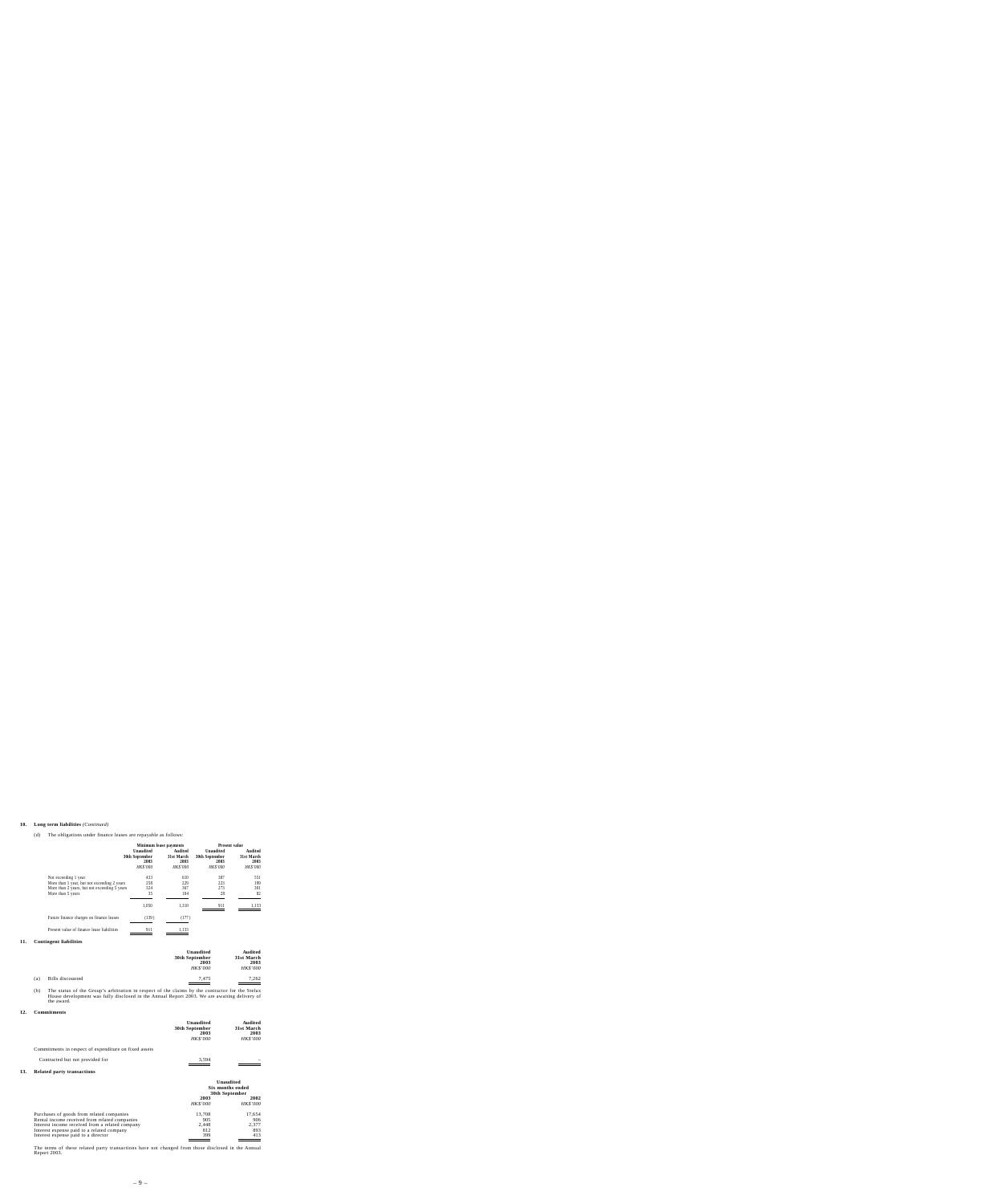### **10. Long term liabilities** *(Continued)*

(d) The obligations under finance leases are repayable as follows:

|                                                                                                                                          | Minimum lease payments                                        |                                                  | <b>Present value</b>                                   |                                                  |
|------------------------------------------------------------------------------------------------------------------------------------------|---------------------------------------------------------------|--------------------------------------------------|--------------------------------------------------------|--------------------------------------------------|
|                                                                                                                                          | <b>Unaudited</b><br>30th September<br>2003<br><b>HK\$'000</b> | Audited<br>31st March<br>2003<br><b>HK\$'000</b> | Unaudited<br>30th September<br>2003<br><b>HK\$'000</b> | Audited<br>31st March<br>2003<br><b>HK\$'000</b> |
| Not exceeding 1 year<br>More than 1 year, but not exceeding 2 years<br>More than 2 years, but not exceeding 5 years<br>More than 5 years | 433<br>258<br>324<br>35                                       | 610<br>229<br>367<br>104                         | 387<br>223<br>273<br>28                                | 551<br>199<br>301<br>82                          |
|                                                                                                                                          | 1.050                                                         | 1.310                                            | 911                                                    | 1.133                                            |
| Future finance charges on finance leases                                                                                                 | (139)                                                         | (177)                                            |                                                        |                                                  |
| Present value of finance lease liabilities                                                                                               | 911                                                           | 1,133                                            |                                                        |                                                  |

#### **11. Contingent liabilities**

|     |                  | Unaudited<br>30th September<br>2003 | Audited<br>31st March<br>2003 |
|-----|------------------|-------------------------------------|-------------------------------|
| (a) | Bills discounted | <b>HK\$'000</b><br>7.475            | <b>HK\$'000</b><br>7.262      |
|     |                  |                                     |                               |

(b) The status of the Group's arbitration in respect of the claims by the contractor for the Stelux House development was fully disclosed in the Annual Report 2003. We are awaiting delivery of the award.

#### **12. Commitments**

|                                                       | Unaudited<br>30th September<br>2003<br><b>HK\$'000</b> | Audited<br>31st March<br>2003<br><b>HK\$'000</b> |
|-------------------------------------------------------|--------------------------------------------------------|--------------------------------------------------|
| Commitments in respect of expenditure on fixed assets |                                                        |                                                  |
| Contracted but not provided for                       | 3.594                                                  |                                                  |

#### **13. Related party transactions**

|                                                                                               | Unaudited<br>Six months ended<br>30th September |                         |
|-----------------------------------------------------------------------------------------------|-------------------------------------------------|-------------------------|
|                                                                                               | 2003<br><b>HK\$'000</b>                         | 2002<br><b>HK\$'000</b> |
| Purchases of goods from related companies<br>Rental income received from related companies    | 13.708<br>905                                   | 17,654<br>906           |
| Interest income received from a related company<br>Interest expense paid to a related company | 2.448<br>812                                    | 2.377<br>893            |
| Interest expense paid to a director                                                           | 399                                             | 413                     |

The terms of these related party transactions have not changed from those disclosed in the Annual Report 2003.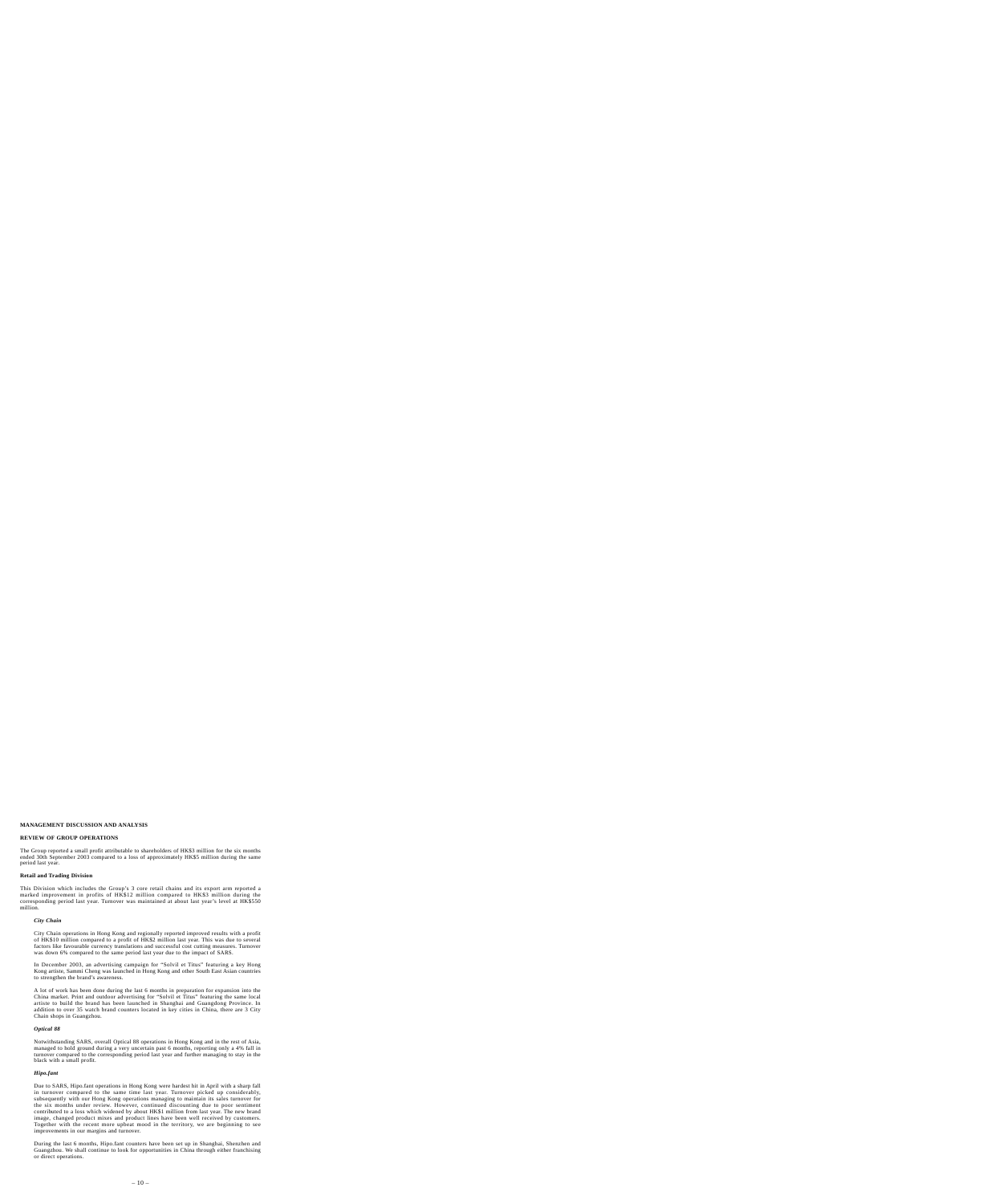# **MANAGEMENT DISCUSSION AND ANALYSIS**

# **REVIEW OF GROUP OPERATIONS**

The Group reported a small profit attributable to shareholders of HK\$3 million for the six months ended 30th September 2003 compared to a loss of approximately HK\$5 million during the same period last year.

# **Retail and Trading Division**

This Division which includes the Group's 3 core retail chains and its export arm reported a marked improvement in profits of HK\$12 million compared to HK\$3 million during the corresponding period last year. Turnover was maintained at about last year's level at HK\$550 million.

# *City Chain*

City Chain operations in Hong Kong and regionally reported improved results with a profit of HK\$10 million compared to a profit of HK\$2 million last year. This was due to several factors like favourable currency translations and successful cost cutting measures. Turnover was down 6% compared to the same period last year due to the impact of SARS.

In December 2003, an advertising campaign for "Solvil et Titus" featuring a key Hong Kong artiste, Sammi Cheng was launched in Hong Kong and other South East Asian countries to strengthen the brand's awareness.

A lot of work has been done during the last 6 months in preparation for expansion into the China market. Print and outdoor advertising for "Solvil et Titus" featuring the same local artiste to build the brand has been launched in Shanghai and Guangdong Province. In addition to over 35 watch brand counters located in key cities in China, there are 3 City Chain shops in Guangzhou.

# *Optical 88*

Notwithstanding SARS, overall Optical 88 operations in Hong Kong and in the rest of Asia, managed to hold ground during a very uncertain past 6 months, reporting only a 4% fall in turnover compared to the corresponding period last year and further managing to stay in the black with a small profit.

# *Hipo.fant*

Due to SARS, Hipo.fant operations in Hong Kong were hardest hit in April with a sharp fall in turnover compared to the same time last year. Turnover picked up considerably, subsequently with our Hong Kong operations managing to maintain its sales turnover for the six months under review. However, continued discounting due to poor sentiment contributed to a loss which widened by about HK\$1 million from last year. The new brand image, changed product mixes and product lines have been well received by customers. Together with the recent more upbeat mood in the territory, we are beginning to see improvements in our margins and turnover.

During the last 6 months, Hipo.fant counters have been set up in Shanghai, Shenzhen and Guangzhou. We shall continue to look for opportunities in China through either franchising or direct operations.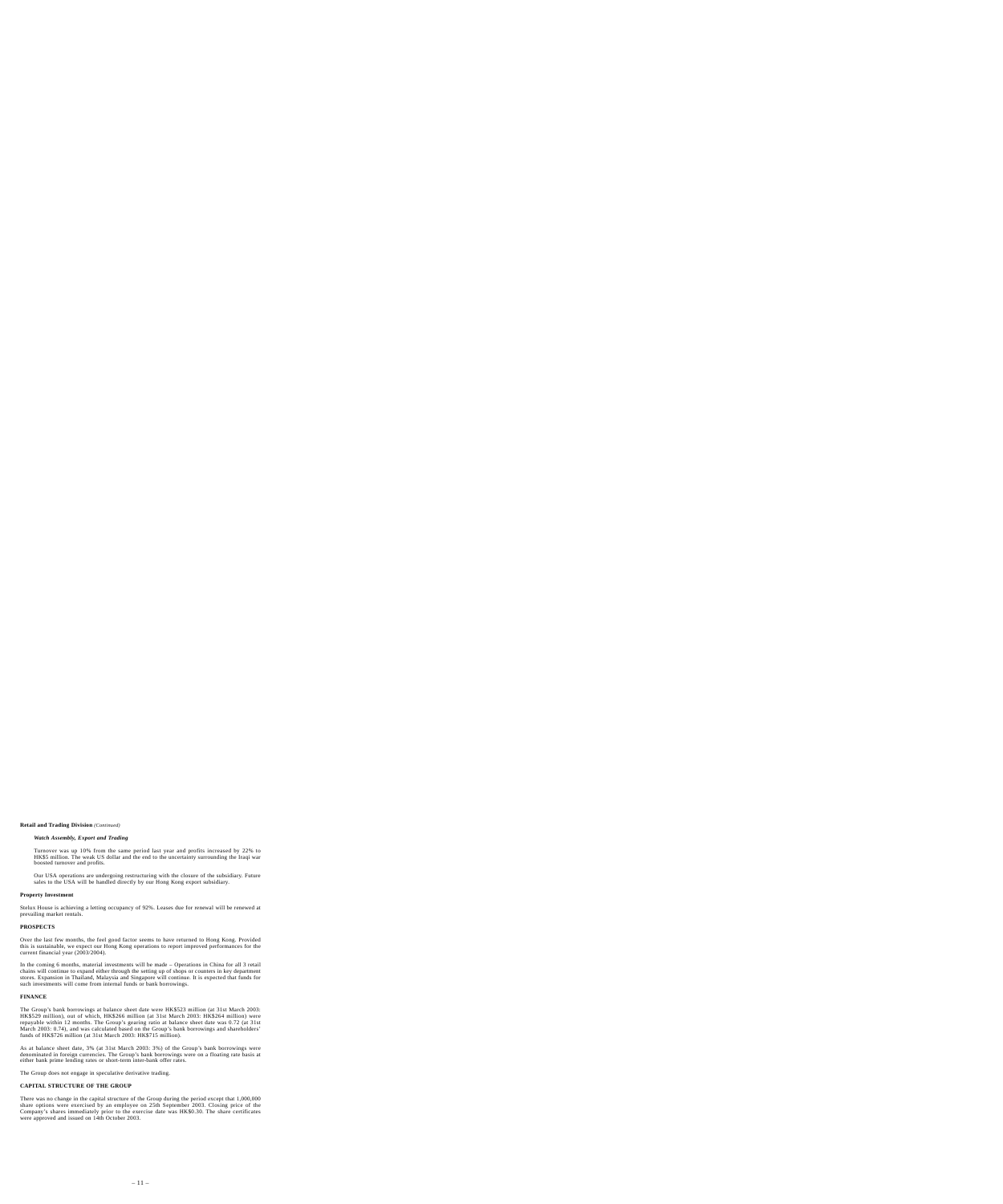## **Retail and Trading Division** *(Continued)*

# *Watch Assembly, Export and Trading*

Turnover was up 10% from the same period last year and profits increased by 22% to HK\$5 million. The weak US dollar and the end to the uncertainty surrounding the Iraqi war boosted turnover and profits.

Our USA operations are undergoing restructuring with the closure of the subsidiary. Future sales to the USA will be handled directly by our Hong Kong export subsidiary.

## **Property Investment**

Stelux House is achieving a letting occupancy of 92%. Leases due for renewal will be renewed at prevailing market rentals.

# **PROSPECTS**

Over the last few months, the feel good factor seems to have returned to Hong Kong. Provided this is sustainable, we expect our Hong Kong operations to report improved performances for the current financial year (2003/2004).

In the coming 6 months, material investments will be made – Operations in China for all 3 retail chains will continue to expand either through the setting up of shops or counters in key department stores. Expansion in Thailand, Malaysia and Singapore will continue. It is expected that funds for such investments will come from internal funds or bank borrowings.

### **FINANCE**

The Group's bank borrowings at balance sheet date were HK\$523 million (at 31st March 2003: HK\$529 million), out of which, HK\$266 million (at 31st March 2003: HK\$264 million) were repayable within 12 months. The Group's gearing ratio at balance sheet date was 0.72 (at 31st March 2003: 0.74), and was calculated based on the Group's bank borrowings and shareholders' funds of HK\$726 million (at 31st March 2003: HK\$715 million).

As at balance sheet date, 3% (at 31st March 2003: 3%) of the Group's bank borrowings were denominated in foreign currencies. The Group's bank borrowings were on a floating rate basis at either bank prime lending rates or short-term inter-bank offer rates.

The Group does not engage in speculative derivative trading.

# **CAPITAL STRUCTURE OF THE GROUP**

There was no change in the capital structure of the Group during the period except that 1,000,000 share options were exercised by an employee on 25th September 2003. Closing price of the Company's shares immediately prior to the exercise date was HK\$0.30. The share certificates were approved and issued on 14th October 2003.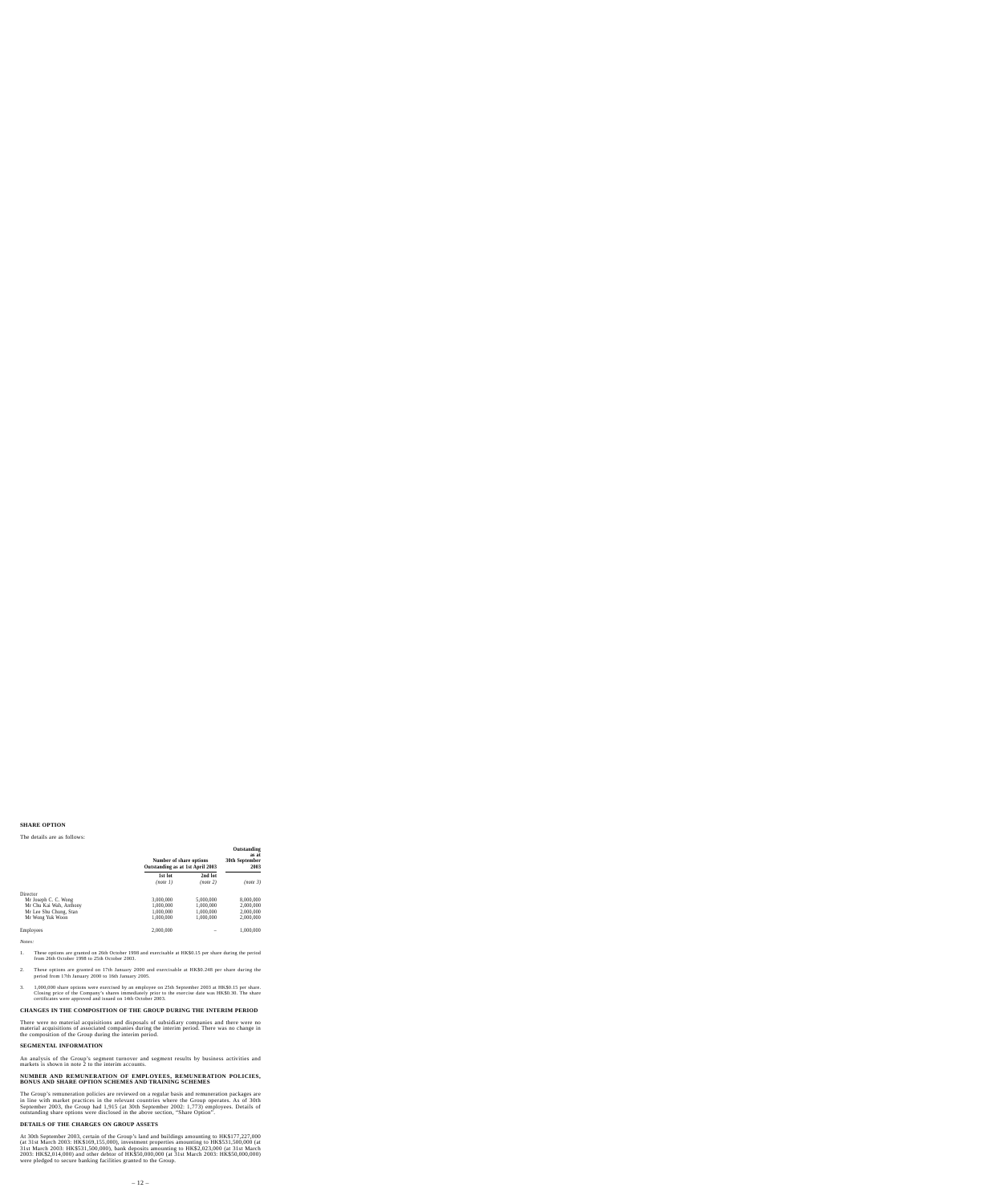# **SHARE OPTION**

#### The details are as follows:

|                         | Number of share options<br>Outstanding as at 1st April 2003 |                     | Outstanding<br>as at<br>30th September<br>2003 |  |
|-------------------------|-------------------------------------------------------------|---------------------|------------------------------------------------|--|
|                         | 1st lot<br>(note 1)                                         | 2nd lot<br>(note 2) | (note 3)                                       |  |
| Director                |                                                             |                     |                                                |  |
| Mr Joseph C. C. Wong    | 3.000.000                                                   | 5.000,000           | 8,000,000                                      |  |
| Mr Chu Kai Wah, Anthony | 1.000.000                                                   | 1.000.000           | 2,000,000                                      |  |
| Mr Lee Shu Chung, Stan  | 1,000,000                                                   | 1.000.000           | 2,000,000                                      |  |
| Mr Wong Yuk Woon        | 1,000,000                                                   | 1,000,000           | 2,000,000                                      |  |
| Employees               | 2,000,000                                                   |                     | 1,000,000                                      |  |

*Notes:*

- 1. These options are granted on 26th October 1998 and exercisable at HK\$0.15 per share during the period from 26th October 1998 to 25th October 2003.
- 2. These options are granted on 17th January 2000 and exercisable at HK\$0.248 per share during the period from 17th January 2000 to 16th January 2005.
- 3. 1,000,000 share options were exercised by an employee on 25th September 2003 at HK\$0.15 per share. Closing price of the Company's shares immediately prior to the exercise date was HK\$0.30. The share certificates were approved and issued on 14th October 2003.

### **CHANGES IN THE COMPOSITION OF THE GROUP DURING THE INTERIM PERIOD**

There were no material acquisitions and disposals of subsidiary companies and there were no material acquisitions of associated companies during the interim period. There was no change in the composition of the Group during the interim period.

# **SEGMENTAL INFORMATION**

An analysis of the Group's segment turnover and segment results by business activities and markets is shown in note 2 to the interim accounts.

### **NUMBER AND REMUNERATION OF EMPLOYEES, REMUNERATION POLICIES, BONUS AND SHARE OPTION SCHEMES AND TRAINING SCHEMES**

The Group's remuneration policies are reviewed on a regular basis and remuneration packages are in line with market practices in the relevant countries where the Group operates. As of 30th September 2003, the Group had 1,915 (at 30th September 2002: 1,773) employees. Details of outstanding share options were disclosed in the above section, "Share Option".

# **DETAILS OF THE CHARGES ON GROUP ASSETS**

At 30th September 2003, certain of the Group's land and buildings amounting to HK\$177,227,000 (at 31st March 2003: HK\$169,155,000), investment properties amounting to HK\$531,500,000 (at 31st March 2003: HK\$531,500,000), bank deposits amounting to HK\$2,023,000 (at 31st March 2003: HK\$2,014,000) and other debtor of HK\$50,000,000 (at 31st March 2003: HK\$50,000,000) were pledged to secure banking facilities granted to the Group.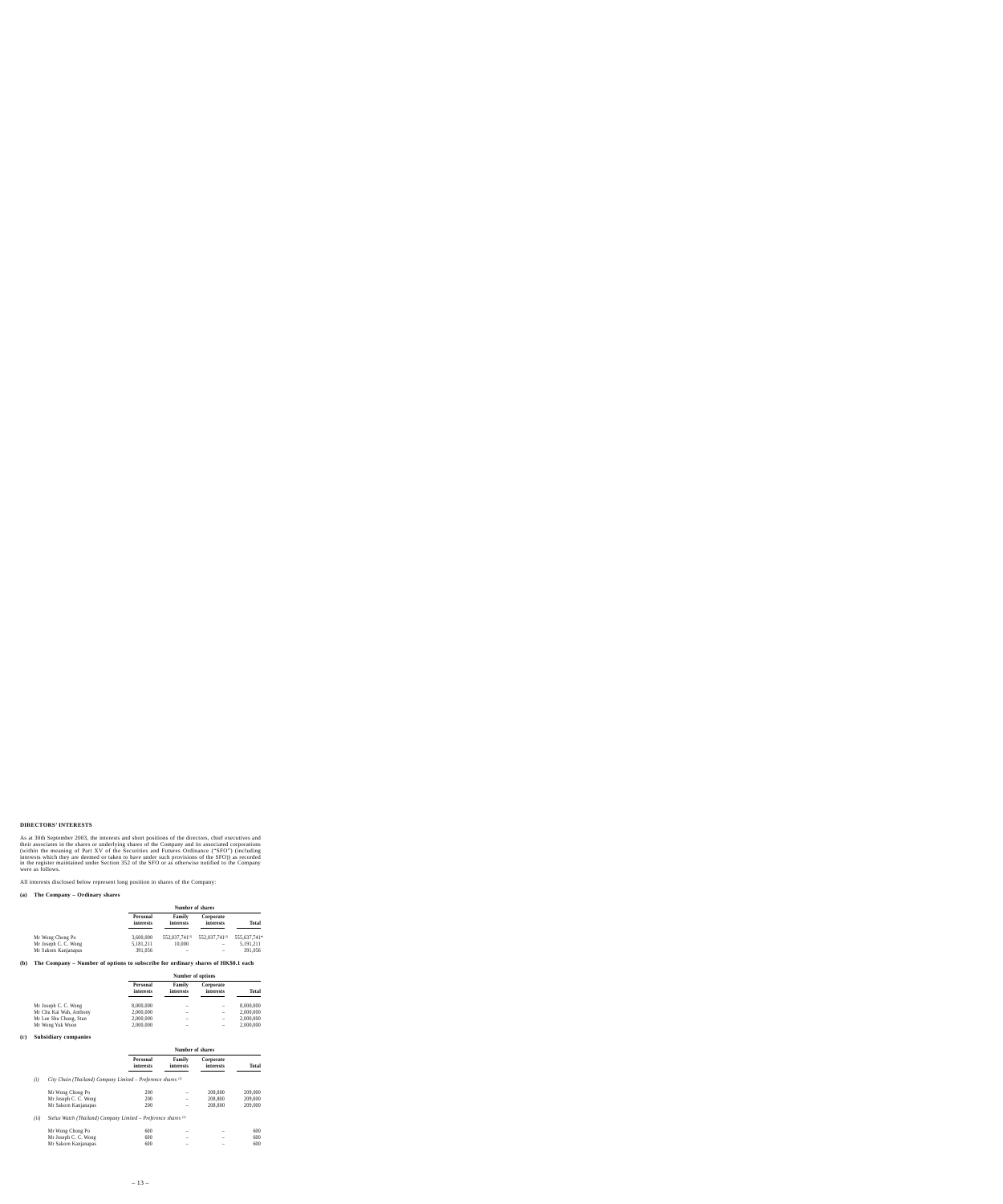# **DIRECTORS' INTERESTS**

As at 30th September 2003, the interests and short positions of the directors, chief executives and their associates in the shares or underlying shares of the Company and its associated corporations (within the meaning of Part XV of the Securities and Futures Ordinance ("SFO") (including interests which they are deemed or taken to have under such provisions of the SFO)) as recorded in the register maintained under Section 352 of the SFO or as otherwise notified to the Company were as follows.

All interests disclosed below represent long position in shares of the Company:

## **(a) The Company – Ordinary shares**

|                      | Number of shares      |                            |                            |              |
|----------------------|-----------------------|----------------------------|----------------------------|--------------|
|                      | Personal<br>interests | Family<br>interests        | Corporate<br>interests     | Total        |
| Mr Wong Chong Po     | 3.600.000             | 552,037,741 <sup>(1)</sup> | 552,037,741 <sup>(1)</sup> | 555,637,741* |
| Mr Joseph C. C. Wong | 5,181,211             | 10.000                     |                            | 5,191,211    |
| Mr Sakorn Kanjanapas | 391,056               |                            |                            | 391.056      |

## **(b) The Company – Number of options to subscribe for ordinary shares of HK\$0.1 each**

|                         | Number of options     |                     |                        |              |
|-------------------------|-----------------------|---------------------|------------------------|--------------|
|                         | Personal<br>interests | Family<br>interests | Corporate<br>interests | <b>Total</b> |
| Mr Joseph C. C. Wong    | 8,000,000             |                     | -                      | 8,000,000    |
| Mr Chu Kai Wah, Anthony | 2,000,000             |                     | -                      | 2,000,000    |
| Mr Lee Shu Chung, Stan  | 2,000,000             |                     | -                      | 2,000,000    |
| Mr Wong Yuk Woon        | 2,000,000             |                     |                        | 2,000,000    |

### **(c) Subsidiary companies**

|      |                                                                   |                       |                     | Number of shares       |              |
|------|-------------------------------------------------------------------|-----------------------|---------------------|------------------------|--------------|
|      |                                                                   | Personal<br>interests | Family<br>interests | Corporate<br>interests | <b>Total</b> |
| (i)  | City Chain (Thailand) Company Limited – Preference shares $(2)$   |                       |                     |                        |              |
|      | Mr Wong Chong Po                                                  | 200                   |                     | 208,800                | 209,000      |
|      | Mr Joseph C. C. Wong                                              | 200                   |                     | 208,800                | 209,000      |
|      | Mr Sakorn Kanjanapas                                              | 200                   |                     | 208,800                | 209,000      |
| (ii) | Stelux Watch (Thailand) Company Limited – Preference shares $(3)$ |                       |                     |                        |              |
|      | Mr Wong Chong Po                                                  | 600                   |                     |                        | 600          |
|      | Mr Joseph C. C. Wong                                              | 600                   |                     |                        | 600          |
|      | Mr Sakorn Kanjanapas                                              | 600                   |                     |                        | 600          |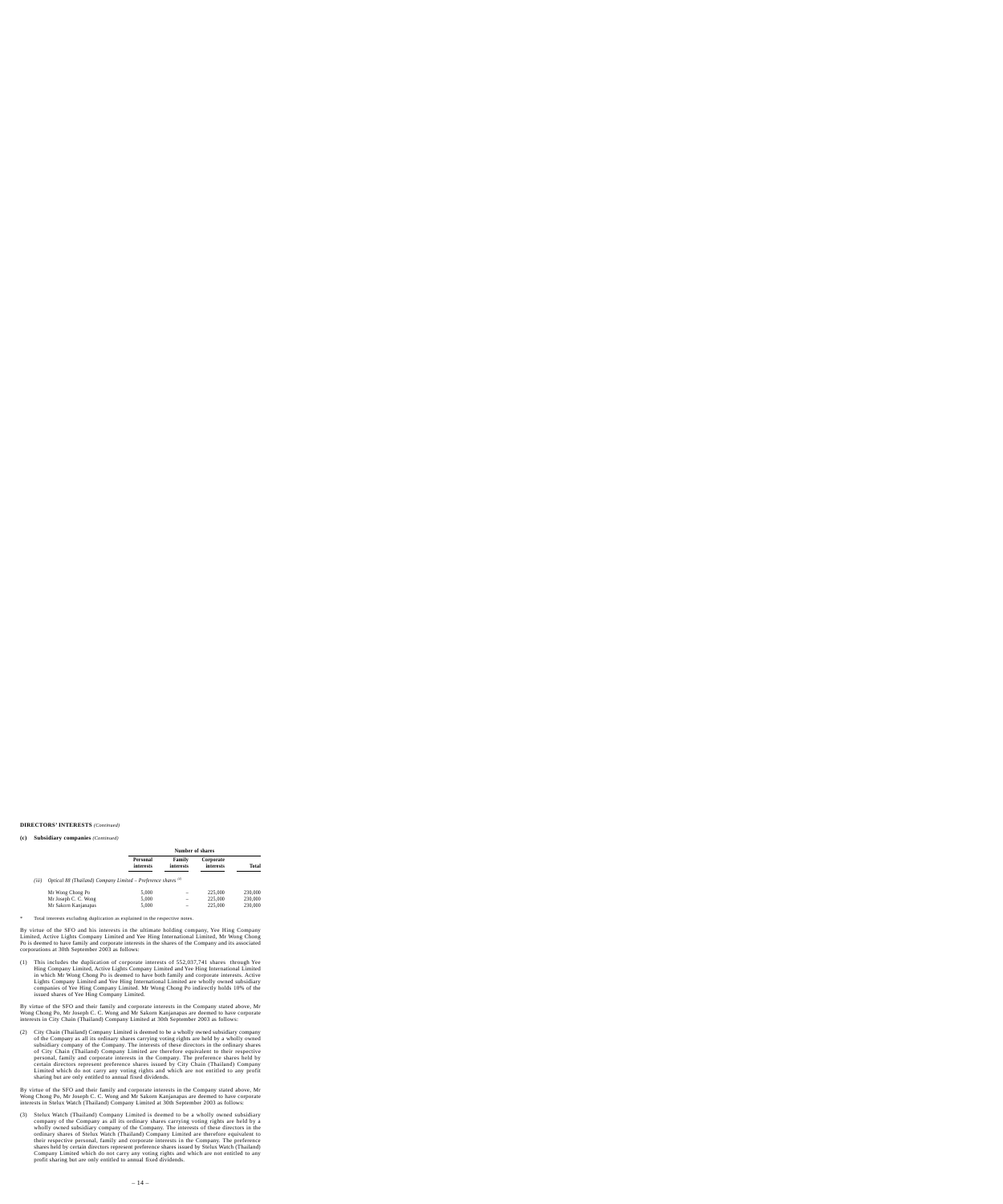# **DIRECTORS' INTERESTS** *(Continued)*

### **(c) Subsidiary companies** *(Continued)*

|       |                                                                 |                       | Number of shares    |                        |         |
|-------|-----------------------------------------------------------------|-----------------------|---------------------|------------------------|---------|
|       |                                                                 | Personal<br>interests | Family<br>interests | Corporate<br>interests | Total   |
| (iii) | Optical 88 (Thailand) Company Limited – Preference shares $(4)$ |                       |                     |                        |         |
|       | Mr Wong Chong Po                                                | 5,000                 |                     | 225,000                | 230,000 |
|       | Mr Joseph C. C. Wong                                            | 5,000                 |                     | 225,000                | 230,000 |
|       | Mr Sakorn Kanjanapas                                            | 5,000                 |                     | 225,000                | 230,000 |

\* Total interests excluding duplication as explained in the respective notes.

By virtue of the SFO and his interests in the ultimate holding company, Yee Hing Company Limited, Active Lights Company Limited and Yee Hing International Limited, Mr Wong Chong Po is deemed to have family and corporate interests in the shares of the Company and its associated corporations at 30th September 2003 as follows:

(1) This includes the duplication of corporate interests of 552,037,741 shares through Yee Hing Company Limited, Active Lights Company Limited and Yee Hing International Limited in which Mr Wong Chong Po is deemed to have both family and corporate interests. Active Lights Company Limited and Yee Hing International Limited are wholly owned subsidiary companies of Yee Hing Company Limited. Mr Wong Chong Po indirectly holds 10% of the issued shares of Yee Hing Company Limited.

By virtue of the SFO and their family and corporate interests in the Company stated above, Mr Wong Chong Po, Mr Joseph C. C. Wong and Mr Sakorn Kanjanapas are deemed to have corporate interests in City Chain (Thailand) Company Limited at 30th September 2003 as follows:

(2) City Chain (Thailand) Company Limited is deemed to be a wholly owned subsidiary company of the Company as all its ordinary shares carrying voting rights are held by a wholly owned subsidiary company of the Company. The interests of these directors in the ordinary shares of City Chain (Thailand) Company Limited are therefore equivalent to their respective personal, family and corporate interests in the Company. The preference shares held by certain directors represent preference shares issued by City Chain (Thailand) Company Limited which do not carry any voting rights and which are not entitled to any profit sharing but are only entitled to annual fixed dividends.

By virtue of the SFO and their family and corporate interests in the Company stated above, Mr Wong Chong Po, Mr Joseph C. C. Wong and Mr Sakorn Kanjanapas are deemed to have corporate interests in Stelux Watch (Thailand) Company Limited at 30th September 2003 as follows:

(3) Stelux Watch (Thailand) Company Limited is deemed to be a wholly owned subsidiary company of the Company as all its ordinary shares carrying voting rights are held by a wholly owned subsidiary company of the Company. The interests of these directors in the ordinary shares of Stelux Watch (Thailand) Company Limited are therefore equivalent to their respective personal, family and corporate interests in the Company. The preference shares held by certain directors represent preference shares issued by Stelux Watch (Thailand) Company Limited which do not carry any voting rights and which are not entitled to any profit sharing but are only entitled to annual fixed dividends.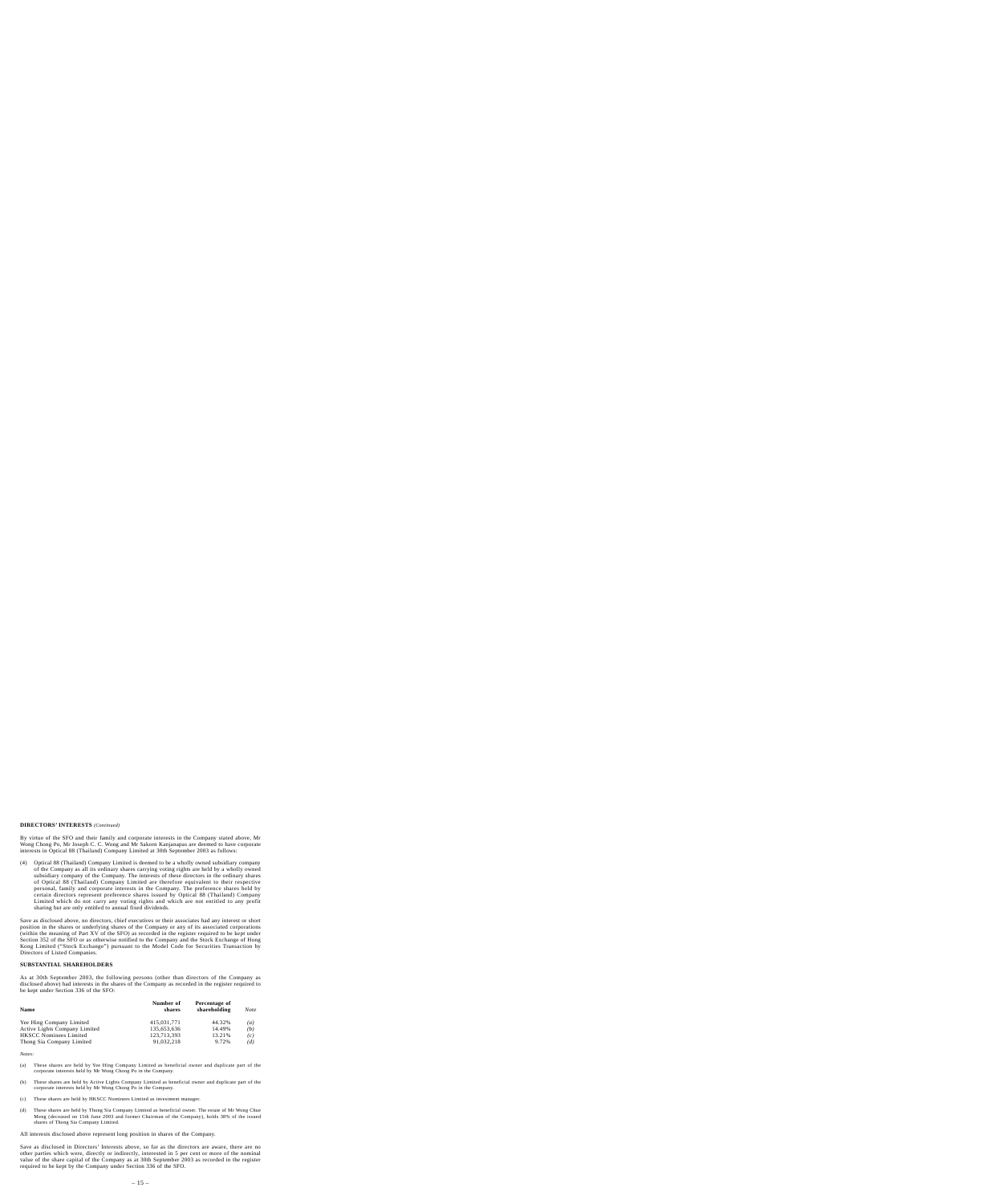# **DIRECTORS' INTERESTS** *(Continued)*

By virtue of the SFO and their family and corporate interests in the Company stated above, Mr Wong Chong Po, Mr Joseph C. C. Wong and Mr Sakorn Kanjanapas are deemed to have corporate interests in Optical 88 (Thailand) Company Limited at 30th September 2003 as follows:

(4) Optical 88 (Thailand) Company Limited is deemed to be a wholly owned subsidiary company of the Company as all its ordinary shares carrying voting rights are held by a wholly owned subsidiary company of the Company. The interests of these directors in the ordinary shares of Optical 88 (Thailand) Company Limited are therefore equivalent to their respective personal, family and corporate interests in the Company. The preference shares held by certain directors represent preference shares issued by Optical 88 (Thailand) Company Limited which do not carry any voting rights and which are not entitled to any profit sharing but are only entitled to annual fixed dividends.

Save as disclosed above, no directors, chief executives or their associates had any interest or short position in the shares or underlying shares of the Company or any of its associated corporations (within the meaning of Part XV of the SFO) as recorded in the register required to be kept under Section 352 of the SFO or as otherwise notified to the Company and the Stock Exchange of Hong Kong Limited ("Stock Exchange") pursuant to the Model Code for Securities Transaction by Directors of Listed Companies.

# **SUBSTANTIAL SHAREHOLDERS**

As at 30th September 2003, the following persons (other than directors of the Company as disclosed above) had interests in the shares of the Company as recorded in the register required to be kept under Section 336 of the SFO:

| <b>Name</b>                   | Number of<br>shares | Percentage of<br>shareholding | Note |
|-------------------------------|---------------------|-------------------------------|------|
| Yee Hing Company Limited      | 415.031.771         | 44.32%                        | (a)  |
| Active Lights Company Limited | 135,653,636         | 14.49%                        | (b)  |
| <b>HKSCC Nominees Limited</b> | 123,713,393         | 13.21%                        | (c)  |
| Thong Sia Company Limited     | 91.032.218          | 9.72%                         | (d)  |

*Notes:*

- (a) These shares are held by Yee Hing Company Limited as beneficial owner and duplicate part of the corporate interests held by Mr Wong Chong Po in the Company.
- (b) These shares are held by Active Lights Company Limited as beneficial owner and duplicate part of the corporate interests held by Mr Wong Chong Po in the Company.
- (c) These shares are held by HKSCC Nominees Limited as investment manager.
- (d) These shares are held by Thong Sia Company Limited as beneficial owner. The estate of Mr Wong Chue Meng (deceased on 15th June 2003 and former Chairman of the Company), holds 38% of the issued shares of Thong Sia Company Limited.

All interests disclosed above represent long position in shares of the Company.

Save as disclosed in Directors' Interests above, so far as the directors are aware, there are no other parties which were, directly or indirectly, interested in 5 per cent or more of the nominal value of the share capital of the Company as at 30th September 2003 as recorded in the register required to be kept by the Company under Section 336 of the SFO.